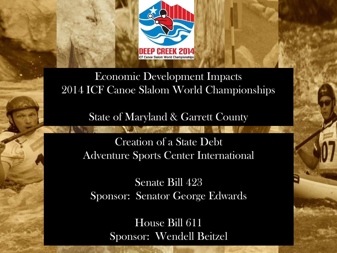

Economic Development Impacts 2014 ICF Canoe Slalom World Championships

State of Maryland & Garrett County

Creation of a State Debt Adventure Sports Center International

Senate Bill 423 Sponsor: Senator George Edwards

> House Bill 611 Sponsor: Wendell Beitzel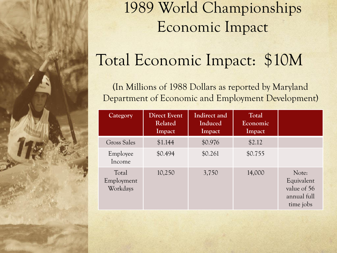

### 1989 World Championships Economic Impact

# Total Economic Impact: \$10M

(In Millions of 1988 Dollars as reported by Maryland Department of Economic and Employment Development)

| Category                        | <b>Direct Event</b><br>Related<br>Impact | Indirect and<br>Induced<br>Impact | Total<br>Economic<br>Impact |                                                                |
|---------------------------------|------------------------------------------|-----------------------------------|-----------------------------|----------------------------------------------------------------|
| Gross Sales                     | \$1.144                                  | \$0.976                           | \$2.12                      |                                                                |
| Employee<br>Income              | \$0.494                                  | \$0.261                           | \$0.755                     |                                                                |
| Total<br>Employment<br>Workdays | 10,250                                   | 3,750                             | 14,000                      | Note:<br>Equivalent<br>value of 56<br>annual full<br>time jobs |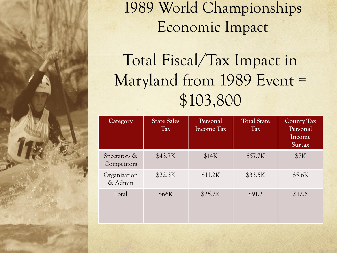

### 1989 World Championships Economic Impact

# Total Fiscal/Tax Impact in Maryland from 1989 Event = \$103,800

| Category                    | <b>State Sales</b><br><b>Tax</b> | Personal<br><b>Income Tax</b> | <b>Total State</b><br><b>Tax</b> | <b>County Tax</b><br>Personal<br>Income<br><b>Surtax</b> |
|-----------------------------|----------------------------------|-------------------------------|----------------------------------|----------------------------------------------------------|
| Spectators &<br>Competitors | \$43.7K                          | \$14K                         | \$57.7K                          | \$7K                                                     |
| Organization<br>& Admin     | \$22.3K                          | \$11.2K                       | \$33.5K                          | \$5.6K                                                   |
| Total                       | \$66K                            | \$25.2K                       | \$91.2                           | \$12.6                                                   |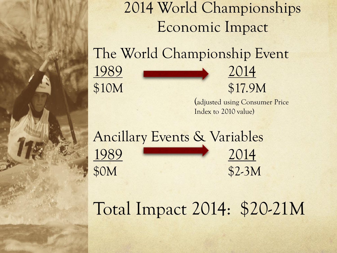2014 World Championships Economic Impact The World Championship Event 1989 2014 \$10M \$17.9M

> (adjusted using Consumer Price Index to 2010 value)

Ancillary Events & Variables 1989 2014 \$0M \$2-3M

# Total Impact 2014: \$20-21M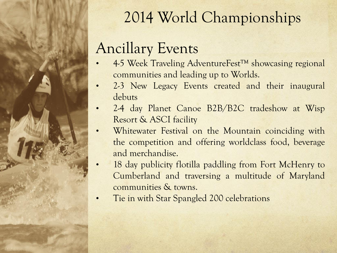

## 2014 World Championships

### Ancillary Events

- 4-5 Week Traveling AdventureFest™ showcasing regional communities and leading up to Worlds.
- 2-3 New Legacy Events created and their inaugural debuts
- 2-4 day Planet Canoe B2B/B2C tradeshow at Wisp Resort & ASCI facility
- Whitewater Festival on the Mountain coinciding with the competition and offering worldclass food, beverage and merchandise.
- 18 day publicity flotilla paddling from Fort McHenry to Cumberland and traversing a multitude of Maryland communities & towns.
- Tie in with Star Spangled 200 celebrations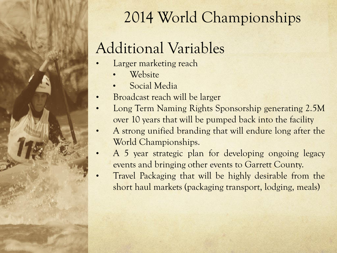

## 2014 World Championships

### Additional Variables

- Larger marketing reach
	- **Website**
	- Social Media
- Broadcast reach will be larger
- Long Term Naming Rights Sponsorship generating 2.5M over 10 years that will be pumped back into the facility
- A strong unified branding that will endure long after the World Championships.
- A 5 year strategic plan for developing ongoing legacy events and bringing other events to Garrett County.
- Travel Packaging that will be highly desirable from the short haul markets (packaging transport, lodging, meals)